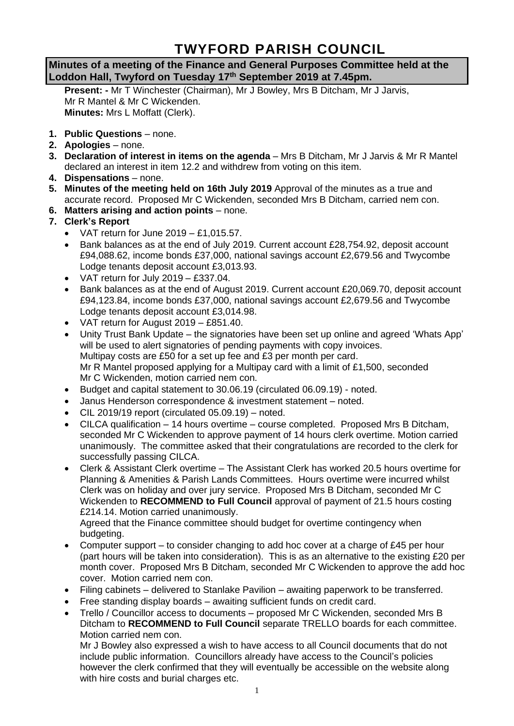# **TWYFORD PARISH COUNCIL**

**Minutes of a meeting of the Finance and General Purposes Committee held at the Loddon Hall, Twyford on Tuesday 17th September 2019 at 7.45pm.**

**Present: -** Mr T Winchester (Chairman), Mr J Bowley, Mrs B Ditcham, Mr J Jarvis, Mr R Mantel & Mr C Wickenden. **Minutes:** Mrs L Moffatt (Clerk).

- **1. Public Questions** none.
- **2. Apologies** none.
- **3. Declaration of interest in items on the agenda** Mrs B Ditcham, Mr J Jarvis & Mr R Mantel declared an interest in item 12.2 and withdrew from voting on this item.
- **4. Dispensations** none.
- **5. Minutes of the meeting held on 16th July 2019** Approval of the minutes as a true and accurate record. Proposed Mr C Wickenden, seconded Mrs B Ditcham, carried nem con.
- **6. Matters arising and action points** none.
- **7. Clerk's Report**
	- VAT return for June  $2019 £1.015.57$ .
	- Bank balances as at the end of July 2019. Current account £28,754.92, deposit account £94,088.62, income bonds £37,000, national savings account £2,679.56 and Twycombe Lodge tenants deposit account £3,013.93.
	- VAT return for July 2019 £337.04.
	- Bank balances as at the end of August 2019. Current account £20,069.70, deposit account £94,123.84, income bonds £37,000, national savings account £2,679.56 and Twycombe Lodge tenants deposit account £3,014.98.
	- VAT return for August 2019 £851.40.
	- Unity Trust Bank Update the signatories have been set up online and agreed 'Whats App' will be used to alert signatories of pending payments with copy invoices. Multipay costs are £50 for a set up fee and £3 per month per card. Mr R Mantel proposed applying for a Multipay card with a limit of £1,500, seconded Mr C Wickenden, motion carried nem con.
	- Budget and capital statement to 30.06.19 (circulated 06.09.19) noted.
	- Janus Henderson correspondence & investment statement noted.
	- $\bullet$  CIL 2019/19 report (circulated 05.09.19) noted.
	- CILCA qualification 14 hours overtime course completed. Proposed Mrs B Ditcham, seconded Mr C Wickenden to approve payment of 14 hours clerk overtime. Motion carried unanimously. The committee asked that their congratulations are recorded to the clerk for successfully passing CILCA.
	- Clerk & Assistant Clerk overtime The Assistant Clerk has worked 20.5 hours overtime for Planning & Amenities & Parish Lands Committees. Hours overtime were incurred whilst Clerk was on holiday and over jury service. Proposed Mrs B Ditcham, seconded Mr C Wickenden to **RECOMMEND to Full Council** approval of payment of 21.5 hours costing £214.14. Motion carried unanimously.

Agreed that the Finance committee should budget for overtime contingency when budgeting.

- Computer support to consider changing to add hoc cover at a charge of £45 per hour (part hours will be taken into consideration). This is as an alternative to the existing £20 per month cover. Proposed Mrs B Ditcham, seconded Mr C Wickenden to approve the add hoc cover. Motion carried nem con.
- Filing cabinets delivered to Stanlake Pavilion awaiting paperwork to be transferred.
- Free standing display boards awaiting sufficient funds on credit card.
- Trello / Councillor access to documents proposed Mr C Wickenden, seconded Mrs B Ditcham to **RECOMMEND to Full Council** separate TRELLO boards for each committee. Motion carried nem con.

Mr J Bowley also expressed a wish to have access to all Council documents that do not include public information. Councillors already have access to the Council's policies however the clerk confirmed that they will eventually be accessible on the website along with hire costs and burial charges etc.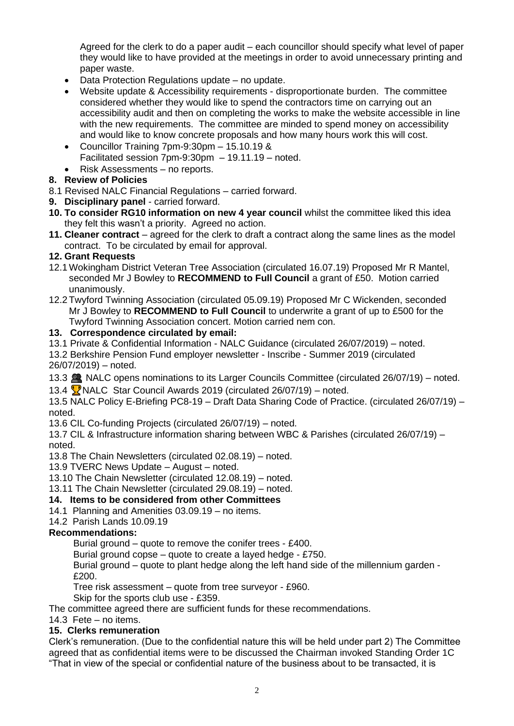Agreed for the clerk to do a paper audit – each councillor should specify what level of paper they would like to have provided at the meetings in order to avoid unnecessary printing and paper waste.

- Data Protection Regulations update no update.
- Website update & Accessibility requirements disproportionate burden. The committee considered whether they would like to spend the contractors time on carrying out an accessibility audit and then on completing the works to make the website accessible in line with the new requirements. The committee are minded to spend money on accessibility and would like to know concrete proposals and how many hours work this will cost.
- Councillor Training 7pm-9:30pm 15.10.19 & Facilitated session 7pm-9:30pm – 19.11.19 – noted.
- Risk Assessments no reports.

# **8. Review of Policies**

- 8.1 Revised NALC Financial Regulations carried forward.
- **9. Disciplinary panel** carried forward.
- **10. To consider RG10 information on new 4 year council** whilst the committee liked this idea they felt this wasn't a priority. Agreed no action.
- **11. Cleaner contract** agreed for the clerk to draft a contract along the same lines as the model contract. To be circulated by email for approval.

#### **12. Grant Requests**

- 12.1 Wokingham District Veteran Tree Association (circulated 16.07.19) Proposed Mr R Mantel, seconded Mr J Bowley to **RECOMMEND to Full Council** a grant of £50. Motion carried unanimously.
- 12.2 Twyford Twinning Association (circulated 05.09.19) Proposed Mr C Wickenden, seconded Mr J Bowley to **RECOMMEND to Full Council** to underwrite a grant of up to £500 for the Twyford Twinning Association concert. Motion carried nem con.

#### **13. Correspondence circulated by email:**

- 13.1 Private & Confidential Information NALC Guidance (circulated 26/07/2019) noted.
- 13.2 Berkshire Pension Fund employer newsletter Inscribe Summer 2019 (circulated 26/07/2019) – noted.
- 13.3 NALC opens nominations to its Larger Councils Committee (circulated 26/07/19) noted.
- 13.4  $\sqrt{2}$  NALC Star Council Awards 2019 (circulated 26/07/19) noted.

13.5 NALC Policy E-Briefing PC8-19 – Draft Data Sharing Code of Practice. (circulated 26/07/19) – noted.

13.6 CIL Co-funding Projects (circulated 26/07/19) – noted.

13.7 CIL & Infrastructure information sharing between WBC & Parishes (circulated 26/07/19) – noted.

13.8 The Chain Newsletters (circulated 02.08.19) – noted.

13.9 TVERC News Update – August – noted.

13.10 The Chain Newsletter (circulated 12.08.19) – noted.

13.11 The Chain Newsletter (circulated 29.08.19) – noted.

# **14. Items to be considered from other Committees**

#### 14.1 Planning and Amenities 03.09.19 – no items.

14.2 Parish Lands 10.09.19

# **Recommendations:**

Burial ground – quote to remove the conifer trees - £400.

Burial ground copse – quote to create a layed hedge - £750.

Burial ground – quote to plant hedge along the left hand side of the millennium garden - £200.

Tree risk assessment – quote from tree surveyor - £960.

Skip for the sports club use - £359.

The committee agreed there are sufficient funds for these recommendations.

14.3 Fete – no items.

# **15. Clerks remuneration**

Clerk's remuneration. (Due to the confidential nature this will be held under part 2) The Committee agreed that as confidential items were to be discussed the Chairman invoked Standing Order 1C "That in view of the special or confidential nature of the business about to be transacted, it is